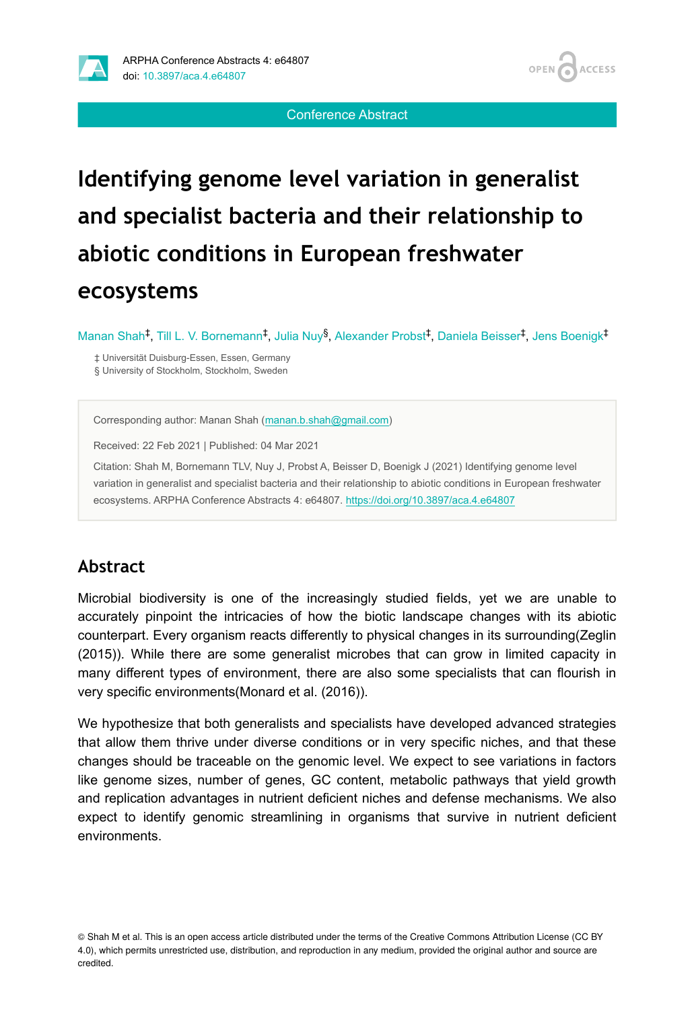



**ACCESS** 

#### Conference Abstract

# **Identifying genome level variation in generalist and specialist bacteria and their relationship to abiotic conditions in European freshwater ecosystems**

Manan Shah<sup>‡</sup>, Till L. V. Bornemann<sup>‡</sup>, Julia Nuy<sup>§</sup>, Alexander Probst<sup>‡</sup>, Daniela Beisser<sup>‡</sup>, Jens Boenigk<sup>‡</sup>

‡ Universität Duisburg-Essen, Essen, Germany § University of Stockholm, Stockholm, Sweden

Corresponding author: Manan Shah ([manan.b.shah@gmail.com\)](mailto:manan.b.shah@gmail.com)

Received: 22 Feb 2021 | Published: 04 Mar 2021

Citation: Shah M, Bornemann TLV, Nuy J, Probst A, Beisser D, Boenigk J (2021) Identifying genome level variation in generalist and specialist bacteria and their relationship to abiotic conditions in European freshwater ecosystems. ARPHA Conference Abstracts 4: e64807. <https://doi.org/10.3897/aca.4.e64807>

### **Abstract**

Microbial biodiversity is one of the increasingly studied fields, yet we are unable to accurately pinpoint the intricacies of how the biotic landscape changes with its abiotic counterpart. Every organism reacts differently to physical changes in its surrounding(Zeglin (2015)). While there are some generalist microbes that can grow in limited capacity in many different types of environment, there are also some specialists that can flourish in very specific environments(Monard et al. (2016)).

We hypothesize that both generalists and specialists have developed advanced strategies that allow them thrive under diverse conditions or in very specific niches, and that these changes should be traceable on the genomic level. We expect to see variations in factors like genome sizes, number of genes, GC content, metabolic pathways that yield growth and replication advantages in nutrient deficient niches and defense mechanisms. We also expect to identify genomic streamlining in organisms that survive in nutrient deficient environments.

© Shah M et al. This is an open access article distributed under the terms of the Creative Commons Attribution License (CC BY 4.0), which permits unrestricted use, distribution, and reproduction in any medium, provided the original author and source are credited.